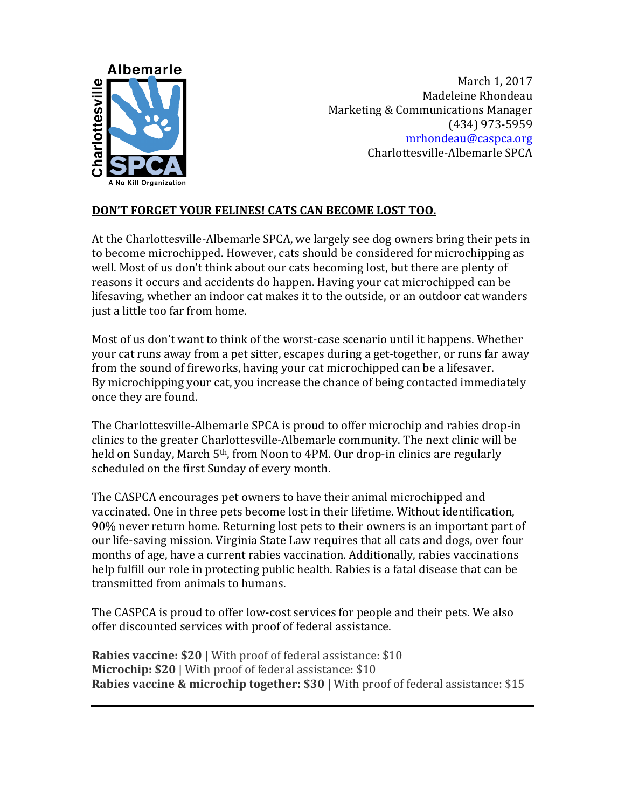

March 1, 2017 Madeleine Rhondeau Marketing & Communications Manager (434) 973-5959 mrhondeau@caspca.org Charlottesville-Albemarle SPCA

## DON'T FORGET YOUR FELINES! CATS CAN BECOME LOST TOO.

At the Charlottesville-Albemarle SPCA, we largely see dog owners bring their pets in to become microchipped. However, cats should be considered for microchipping as well. Most of us don't think about our cats becoming lost, but there are plenty of reasons it occurs and accidents do happen. Having your cat microchipped can be lifesaving, whether an indoor cat makes it to the outside, or an outdoor cat wanders just a little too far from home.

Most of us don't want to think of the worst-case scenario until it happens. Whether your cat runs away from a pet sitter, escapes during a get-together, or runs far away from the sound of fireworks, having your cat microchipped can be a lifesaver. By microchipping your cat, you increase the chance of being contacted immediately once they are found.

The Charlottesville-Albemarle SPCA is proud to offer microchip and rabies drop-in clinics to the greater Charlottesville-Albemarle community. The next clinic will be held on Sunday, March 5<sup>th</sup>, from Noon to 4PM. Our drop-in clinics are regularly scheduled on the first Sunday of every month.

The CASPCA encourages pet owners to have their animal microchipped and vaccinated. One in three pets become lost in their lifetime. Without identification, 90% never return home. Returning lost pets to their owners is an important part of our life-saving mission. Virginia State Law requires that all cats and dogs, over four months of age, have a current rabies vaccination. Additionally, rabies vaccinations help fulfill our role in protecting public health. Rabies is a fatal disease that can be transmitted from animals to humans.

The CASPCA is proud to offer low-cost services for people and their pets. We also offer discounted services with proof of federal assistance.

**Rabies vaccine: \$20** | With proof of federal assistance: \$10 **Microchip: \$20** | With proof of federal assistance: \$10 **Rabies vaccine & microchip together: \$30 | With proof of federal assistance: \$15**